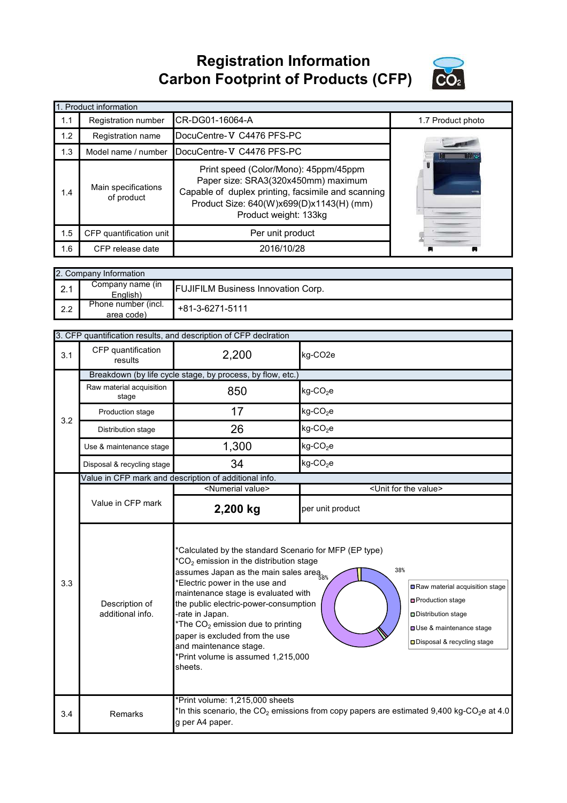**Registration Information Carbon Footprint of Products (CFP)**



|     | 1. Product information                                                                                                                                                                                                                       |                           |                   |  |  |  |  |  |
|-----|----------------------------------------------------------------------------------------------------------------------------------------------------------------------------------------------------------------------------------------------|---------------------------|-------------------|--|--|--|--|--|
| 1.1 | Registration number                                                                                                                                                                                                                          | CR-DG01-16064-A           | 1.7 Product photo |  |  |  |  |  |
| 1.2 | Registration name                                                                                                                                                                                                                            | DocuCentre-V C4476 PFS-PC |                   |  |  |  |  |  |
| 1.3 | Model name / number                                                                                                                                                                                                                          | DocuCentre-V C4476 PFS-PC |                   |  |  |  |  |  |
| 1.4 | Print speed (Color/Mono): 45ppm/45ppm<br>Paper size: SRA3(320x450mm) maximum<br>Main specifications<br>Capable of duplex printing, facsimile and scanning<br>of product<br>Product Size: 640(W)x699(D)x1143(H) (mm)<br>Product weight: 133kg |                           |                   |  |  |  |  |  |
| 1.5 | CFP quantification unit                                                                                                                                                                                                                      | Per unit product          |                   |  |  |  |  |  |
| 1.6 | CFP release date                                                                                                                                                                                                                             |                           |                   |  |  |  |  |  |

| 2. Company Information |                                   |                                           |  |  |  |
|------------------------|-----------------------------------|-------------------------------------------|--|--|--|
| 2.1                    | Company name (in<br>English)      | <b>FUJIFILM Business Innovation Corp.</b> |  |  |  |
| 2.2                    | Phone number (incl.<br>area code) | +81-3-6271-5111                           |  |  |  |

|                                                                                                                                                                                                                                                                                                                                                                                                                                                                                                                                                                                                                                                                       | 3. CFP quantification results, and description of CFP declration |                                                       |                                                                                                                   |  |  |  |
|-----------------------------------------------------------------------------------------------------------------------------------------------------------------------------------------------------------------------------------------------------------------------------------------------------------------------------------------------------------------------------------------------------------------------------------------------------------------------------------------------------------------------------------------------------------------------------------------------------------------------------------------------------------------------|------------------------------------------------------------------|-------------------------------------------------------|-------------------------------------------------------------------------------------------------------------------|--|--|--|
| 3.1                                                                                                                                                                                                                                                                                                                                                                                                                                                                                                                                                                                                                                                                   | CFP quantification<br>results                                    | 2,200                                                 | kg-CO2e                                                                                                           |  |  |  |
|                                                                                                                                                                                                                                                                                                                                                                                                                                                                                                                                                                                                                                                                       | Breakdown (by life cycle stage, by process, by flow, etc.)       |                                                       |                                                                                                                   |  |  |  |
|                                                                                                                                                                                                                                                                                                                                                                                                                                                                                                                                                                                                                                                                       | Raw material acquisition<br>stage                                | 850                                                   | kg-CO <sub>2</sub> e                                                                                              |  |  |  |
| 3.2                                                                                                                                                                                                                                                                                                                                                                                                                                                                                                                                                                                                                                                                   | Production stage                                                 | 17                                                    | kg-CO <sub>2</sub> e                                                                                              |  |  |  |
|                                                                                                                                                                                                                                                                                                                                                                                                                                                                                                                                                                                                                                                                       | Distribution stage                                               | 26                                                    | $kg$ -CO <sub>2</sub> e                                                                                           |  |  |  |
|                                                                                                                                                                                                                                                                                                                                                                                                                                                                                                                                                                                                                                                                       | Use & maintenance stage                                          | 1,300                                                 | $kg$ -CO <sub>2</sub> e                                                                                           |  |  |  |
|                                                                                                                                                                                                                                                                                                                                                                                                                                                                                                                                                                                                                                                                       | Disposal & recycling stage                                       | 34                                                    | $kg$ -CO <sub>2</sub> e                                                                                           |  |  |  |
|                                                                                                                                                                                                                                                                                                                                                                                                                                                                                                                                                                                                                                                                       |                                                                  | Value in CFP mark and description of additional info. |                                                                                                                   |  |  |  |
|                                                                                                                                                                                                                                                                                                                                                                                                                                                                                                                                                                                                                                                                       |                                                                  | <numerial value=""></numerial>                        | <unit for="" the="" value=""></unit>                                                                              |  |  |  |
|                                                                                                                                                                                                                                                                                                                                                                                                                                                                                                                                                                                                                                                                       | Value in CFP mark                                                | 2,200 kg                                              | per unit product                                                                                                  |  |  |  |
| *Calculated by the standard Scenario for MFP (EP type)<br>$*CO2$ emission in the distribution stage<br>38%<br>assumes Japan as the main sales area $_{\rm 58\%}$<br>*Electric power in the use and<br>3.3<br>Raw material acquisition stage<br>maintenance stage is evaluated with<br>□ Production stage<br>the public electric-power-consumption<br>Description of<br>additional info.<br>-rate in Japan.<br>Distribution stage<br>*The CO <sub>2</sub> emission due to printing<br><b>OUse &amp; maintenance stage</b><br>paper is excluded from the use<br>□ Disposal & recycling stage<br>and maintenance stage.<br>*Print volume is assumed 1,215,000<br>sheets. |                                                                  |                                                       |                                                                                                                   |  |  |  |
| 3.4                                                                                                                                                                                                                                                                                                                                                                                                                                                                                                                                                                                                                                                                   | Remarks                                                          | *Print volume: 1,215,000 sheets<br>g per A4 paper.    | *In this scenario, the CO <sub>2</sub> emissions from copy papers are estimated 9,400 kg-CO <sub>2</sub> e at 4.0 |  |  |  |